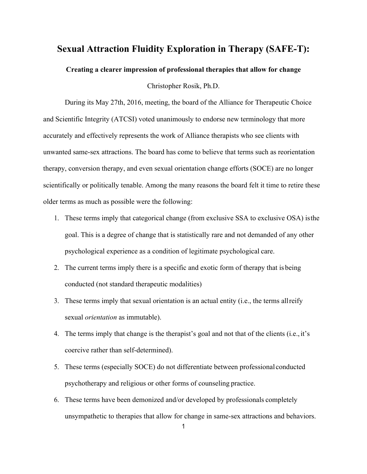## **Sexual Attraction Fluidity Exploration in Therapy (SAFE-T):**

## **Creating a clearer impression of professional therapies that allow for change**

Christopher Rosik, Ph.D.

During its May 27th, 2016, meeting, the board of the Alliance for Therapeutic Choice and Scientific Integrity (ATCSI) voted unanimously to endorse new terminology that more accurately and effectively represents the work of Alliance therapists who see clients with unwanted same-sex attractions. The board has come to believe that terms such as reorientation therapy, conversion therapy, and even sexual orientation change efforts (SOCE) are no longer scientifically or politically tenable. Among the many reasons the board felt it time to retire these older terms as much as possible were the following:

- 1. These terms imply that categorical change (from exclusive SSA to exclusive OSA) isthe goal. This is a degree of change that is statistically rare and not demanded of any other psychological experience as a condition of legitimate psychological care.
- 2. The current terms imply there is a specific and exotic form of therapy that is being conducted (not standard therapeutic modalities)
- 3. These terms imply that sexual orientation is an actual entity (i.e., the terms allreify sexual *orientation* as immutable).
- 4. The terms imply that change is the therapist's goal and not that of the clients (i.e., it's coercive rather than self-determined).
- 5. These terms (especially SOCE) do not differentiate between professional conducted psychotherapy and religious or other forms of counseling practice.
- 6. These terms have been demonized and/or developed by professionals completely unsympathetic to therapies that allow for change in same-sex attractions and behaviors.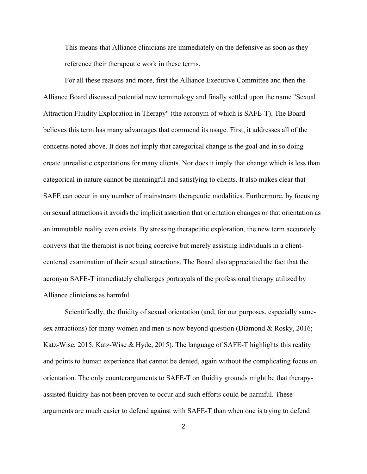This means that Alliance clinicians are immediately on the defensive as soon as they reference their therapeutic work in these terms.

For all these reasons and more, first the Alliance Executive Committee and then the Alliance Board discussed potential new terminology and finally settled upon the name "Sexual Attraction Fluidity Exploration in Therapy" (the acronym of which is SAFE-T). The Board believes this term has many advantages that commend its usage. First, it addresses all of the concerns noted above. It does not imply that categorical change is the goal and in so doing create unrealistic expectations for many clients. Nor does it imply that change which is less than categorical in nature cannot be meaningful and satisfying to clients. It also makes clear that SAFE can occur in any number of mainstream therapeutic modalities. Furthermore, by focusing on sexual attractions it avoids the implicit assertion that orientation changes or that orientation as an immutable reality even exists. By stressing therapeutic exploration, the new term accurately conveys that the therapist is not being coercive but merely assisting individuals in a clientcentered examination of their sexual attractions. The Board also appreciated the fact that the acronym SAFE-T immediately challenges portrayals of the professional therapy utilized by Alliance clinicians as harmful.

Scientifically, the fluidity of sexual orientation (and, for our purposes, especially samesex attractions) for many women and men is now beyond question (Diamond & Rosky, 2016; Katz-Wise, 2015; Katz-Wise & Hyde, 2015). The language of SAFE-T highlights this reality and points to human experience that cannot be denied, again without the complicating focus on orientation. The only counterarguments to SAFE-T on fluidity grounds might be that therapyassisted fluidity has not been proven to occur and such efforts could be harmful. These arguments are much easier to defend against with SAFE-T than when one is trying to defend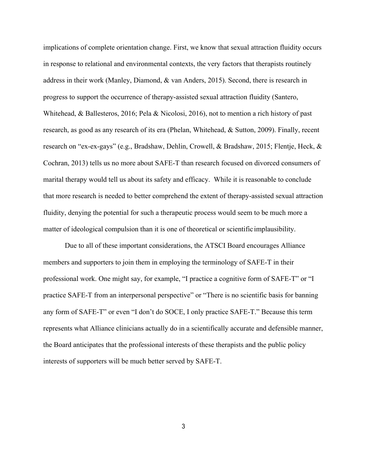implications of complete orientation change. First, we know that sexual attraction fluidity occurs in response to relational and environmental contexts, the very factors that therapists routinely address in their work (Manley, Diamond, & van Anders, 2015). Second, there is research in progress to support the occurrence of therapy-assisted sexual attraction fluidity (Santero, Whitehead, & Ballesteros, 2016; Pela & Nicolosi, 2016), not to mention a rich history of past research, as good as any research of its era (Phelan, Whitehead, & Sutton, 2009). Finally, recent research on "ex-ex-gays" (e.g., Bradshaw, Dehlin, Crowell, & Bradshaw, 2015; Flentje, Heck, & Cochran, 2013) tells us no more about SAFE-T than research focused on divorced consumers of marital therapy would tell us about its safety and efficacy. While it is reasonable to conclude that more research is needed to better comprehend the extent of therapy-assisted sexual attraction fluidity, denying the potential for such a therapeutic process would seem to be much more a matter of ideological compulsion than it is one of theoretical or scientific implausibility.

Due to all of these important considerations, the ATSCI Board encourages Alliance members and supporters to join them in employing the terminology of SAFE-T in their professional work. One might say, for example, "I practice a cognitive form of SAFE-T" or "I practice SAFE-T from an interpersonal perspective" or "There is no scientific basis for banning any form of SAFE-T" or even "I don't do SOCE, I only practice SAFE-T." Because this term represents what Alliance clinicians actually do in a scientifically accurate and defensible manner, the Board anticipates that the professional interests of these therapists and the public policy interests of supporters will be much better served by SAFE-T.

3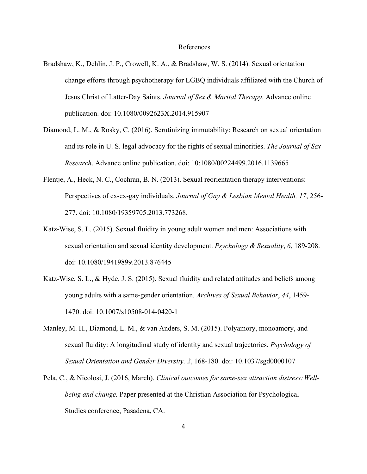## References

- Bradshaw, K., Dehlin, J. P., Crowell, K. A., & Bradshaw, W. S. (2014). Sexual orientation change efforts through psychotherapy for LGBQ individuals affiliated with the Church of Jesus Christ of Latter-Day Saints. *Journal of Sex & Marital Therapy*. Advance online publication. doi: 10.1080/0092623X.2014.915907
- Diamond, L. M., & Rosky, C. (2016). Scrutinizing immutability: Research on sexual orientation and its role in U. S. legal advocacy for the rights of sexual minorities. *The Journal of Sex Research*. Advance online publication. doi: 10:1080/00224499.2016.1139665
- Flentje, A., Heck, N. C., Cochran, B. N. (2013). Sexual reorientation therapy interventions: Perspectives of ex-ex-gay individuals. *Journal of Gay & Lesbian Mental Health, 17*, 256- 277. doi: 10.1080/19359705.2013.773268.
- Katz-Wise, S. L. (2015). Sexual fluidity in young adult women and men: Associations with sexual orientation and sexual identity development. *Psychology & Sexuality*, *6*, 189-208. doi: 10.1080/19419899.2013.876445
- Katz-Wise, S. L., & Hyde, J. S. (2015). Sexual fluidity and related attitudes and beliefs among young adults with a same-gender orientation. *Archives of Sexual Behavior*, *44*, 1459- 1470. doi: 10.1007/s10508-014-0420-1
- Manley, M. H., Diamond, L. M., & van Anders, S. M. (2015). Polyamory, monoamory, and sexual fluidity: A longitudinal study of identity and sexual trajectories. *Psychology of Sexual Orientation and Gender Diversity, 2*, 168-180. doi: 10.1037/sgd0000107
- Pela, C., & Nicolosi, J. (2016, March). *Clinical outcomes for same-sex attraction distress: Wellbeing and change.* Paper presented at the Christian Association for Psychological Studies conference, Pasadena, CA.